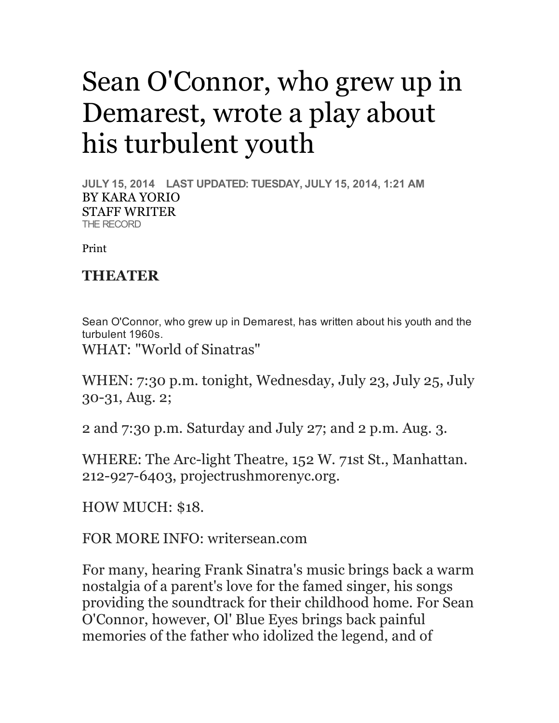## Sean O'Connor, who grew up in Demarest, wrote a play about his turbulent youth

**JULY 15, 2014 LAST UPDATED: TUESDAY, JULY 15, 2014, 1:21 AM** BY KARA YORIO STAFF WRITER THE RECORD

Print

## **THEATER**

Sean O'Connor, who grew up in Demarest, has written about his youth and the turbulent 1960s.

WHAT: "World of Sinatras"

WHEN: 7:30 p.m. tonight, Wednesday, July 23, July 25, July 30-31, Aug. 2;

2 and 7:30 p.m. Saturday and July 27; and 2 p.m. Aug. 3.

WHERE: The Arc-light Theatre, 152 W. 71st St., Manhattan. 212-927-6403, projectrushmorenyc.org.

HOW MUCH: \$18.

FOR MORE INFO: writersean.com

For many, hearing Frank Sinatra's music brings back a warm nostalgia of a parent's love for the famed singer, his songs providing the soundtrack for their childhood home. For Sean O'Connor, however, Ol' Blue Eyes brings back painful memories of the father who idolized the legend, and of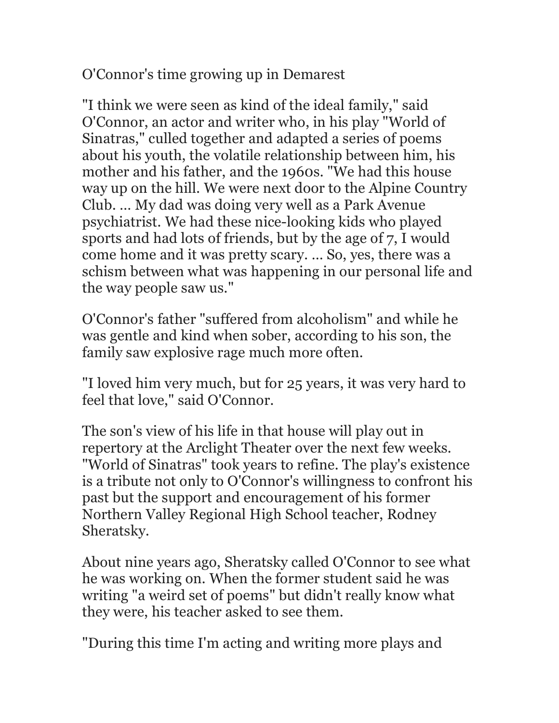O'Connor's time growing up in Demarest

"I think we were seen as kind of the ideal family," said O'Connor, an actor and writer who, in his play "World of Sinatras," culled together and adapted a series of poems about his youth, the volatile relationship between him, his mother and his father, and the 1960s. "We had this house way up on the hill. We were next door to the Alpine Country Club. … My dad was doing very well as a Park Avenue psychiatrist. We had these nice-looking kids who played sports and had lots of friends, but by the age of 7, I would come home and it was pretty scary. … So, yes, there was a schism between what was happening in our personal life and the way people saw us."

O'Connor's father "suffered from alcoholism" and while he was gentle and kind when sober, according to his son, the family saw explosive rage much more often.

"I loved him very much, but for 25 years, it was very hard to feel that love," said O'Connor.

The son's view of his life in that house will play out in repertory at the Arclight Theater over the next few weeks. "World of Sinatras" took years to refine. The play's existence is a tribute not only to O'Connor's willingness to confront his past but the support and encouragement of his former Northern Valley Regional High School teacher, Rodney Sheratsky.

About nine years ago, Sheratsky called O'Connor to see what he was working on. When the former student said he was writing "a weird set of poems" but didn't really know what they were, his teacher asked to see them.

"During this time I'm acting and writing more plays and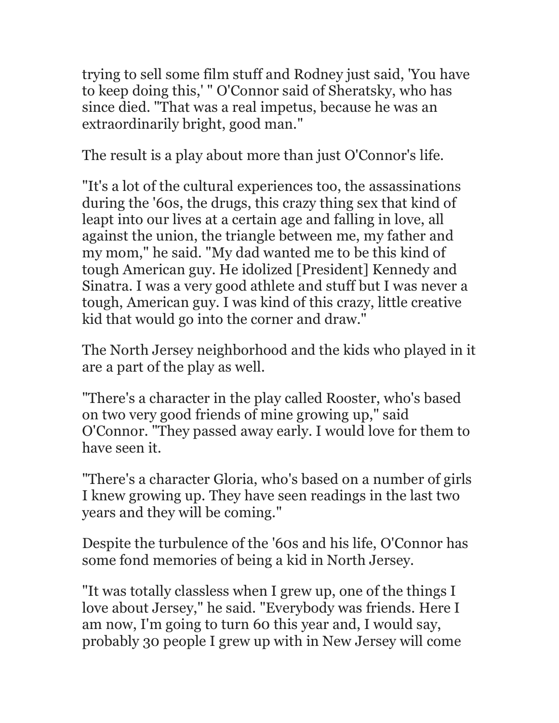trying to sell some film stuff and Rodney just said, 'You have to keep doing this,' " O'Connor said of Sheratsky, who has since died. "That was a real impetus, because he was an extraordinarily bright, good man."

The result is a play about more than just O'Connor's life.

"It's a lot of the cultural experiences too, the assassinations during the '60s, the drugs, this crazy thing sex that kind of leapt into our lives at a certain age and falling in love, all against the union, the triangle between me, my father and my mom," he said. "My dad wanted me to be this kind of tough American guy. He idolized [President] Kennedy and Sinatra. I was a very good athlete and stuff but I was never a tough, American guy. I was kind of this crazy, little creative kid that would go into the corner and draw."

The North Jersey neighborhood and the kids who played in it are a part of the play as well.

"There's a character in the play called Rooster, who's based on two very good friends of mine growing up," said O'Connor. "They passed away early. I would love for them to have seen it.

"There's a character Gloria, who's based on a number of girls I knew growing up. They have seen readings in the last two years and they will be coming."

Despite the turbulence of the '60s and his life, O'Connor has some fond memories of being a kid in North Jersey.

"It was totally classless when I grew up, one of the things I love about Jersey," he said. "Everybody was friends. Here I am now, I'm going to turn 60 this year and, I would say, probably 30 people I grew up with in New Jersey will come